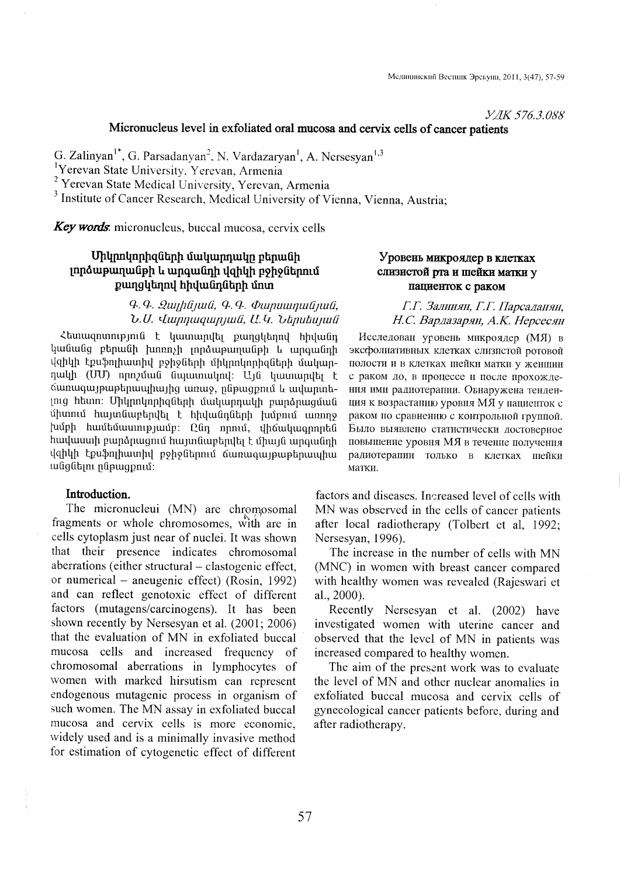*YAK 576.3.088* 

## Micronucleus level in exfoliated oral mucosa and cervix cells of cancer patients

G. Zalinyan<sup>1\*</sup>, G. Parsadanyan<sup>2</sup>, N. Vardazaryan<sup>1</sup>, A. Nersesyan<sup>1,3</sup>

Preevan State University, Yerevan, Armenia<br>
<sup>2</sup> Yerevan State Medical University, Yerevan, Armenia

<sup>3</sup> Institute of Cancer Research, Medical University of Vienna, Vienna, Austria;

**Key words** micronucleus, buccal mucosa, cervix cells

## Միկրոկորիզների մակարդակը բերանի լորձաթաղանթի և արգանդի վզիկի բջիջներում քաղցկեղով հիվանդների մոտ

### $9.9.$   $2$ *uyhûyuû,*  $9.9.$  $\Phi$ *wpwwnyuliyuli,*  $b$ . U. Uunnuquin juli, U. U. Utanutunuli

Հետազոտություն է կատարվել քաղզկեղով հիվանդ կանանց բերանի խոռոչի լորձաթաղանթի և արգանդի վզիկի էքսֆոյիատիվ բջիջների միկրոկորիցների մակարդակի (UU) որոշման նպատակով: Այն կատարվել է ճառագայթաթերապիայից առաջ, ընթացքում և ավարտելուց հեսող։ Միկրոկորիզների մակարդակի բարձրացման միտում հայտնաբերվել է հիվանդների խմբում առողջ խմբի համեմասությամբ։ Ընդ որում, վիճակագրորեն hավաստի բարձրացում հայտնաբերվել է միայն արգանդի վզիկի էքսֆոլիատիվ բջիջներում ճառագայթաթերապիա անցնելու ընթացքում:

#### Introduction.

The micronucleui (MN) are chromosomal fragments or whole chromosomes, with are in cells cytoplasm just near of nuclei. It was shown that their presence indicates chromosomal aberrations (either structural – clastogenic effect, or numerical – aneugenic effect) (Rosin, 1992) and can reflect genotoxic effect of different factors (mutagens/carcinogens). It has been shown recently by Nersesyan et al. (2001; 2006) that the evaluation of MN in exfoliated buccal mucosa cells and increased frequency of chromosomal aberrations in lymphocytes of women with marked hirsutism can represent endogenous mutagenic process in organism of such women. The MN assay in exfoliated buccal mucosa and cervix cells is more economic, widely used and is a minimally invasive method for estimation of cytogenetic effect of different

## Уровень микроялер в клетках слизистой рта и шейки матки у пациенток с раком

Г.Г. Залинян, Г.Г. Парсаданян, Н.С. Вардазарян, А.К. Нерсесян

Исследован уровень микроядер (МЯ) в эксфолиативных клетках слизистой ротовой полости и в клетках шейки матки у женщин с раком до, в процессе и после прохождения ими радиотерапни. Овнаружена тенденция к возрастанию уровня МЯ у пациенток с раком по сравнению с контрольной группой. Было выявлено статистически лостоверное повышение уровня МЯ в течение получения радиотерапии только в клетках шейки матки.

factors and diseases. Increased level of cells with MN was observed in the cells of cancer patients after local radiotherapy (Tolbert et al, 1992; Nersesyan, 1996).

The increase in the number of cells with MN (MNC) in women with breast cancer compared with healthy women was revealed (Rajeswari et al., 2000).

Recently Nersesyan et al. (2002) have investigated women with uterine cancer and observed that the level of MN in patients was increased compared to healthy women.

The aim of the present work was to evaluate the level of MN and other nuclear anomalies in exfoliated buccal mucosa and cervix cells of gynecological cancer patients before, during and after radiotherapy.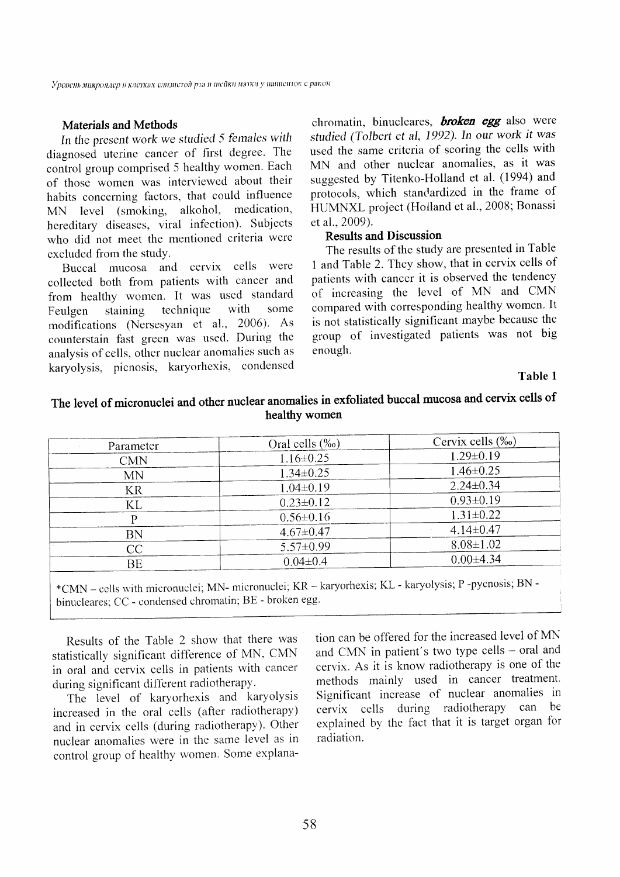#### **Materials and Methods**

In the present work we studied 5 females with diagnosed uterine cancer of first degree. The control group comprised 5 healthy women. Each of those women was interviewed about their habits concerning factors, that could influence MN level (smoking, alkohol, medication, hereditary diseases, viral infection). Subjects who did not meet the mentioned criteria were excluded from the study.

Buccal mucosa and cervix cells were collected both from patients with cancer and from healthy women. It was used standard technique with some staining Feulgen modifications (Nersesyan et al., 2006). As counterstain fast green was used. During the analysis of cells, other nuclear anomalies such as karyolysis, picnosis, karyorhexis, condensed

chromatin, binucleares, **broken egg** also were studied (Tolbert et al, 1992). In our work it was used the same criteria of scoring the cells with MN and other nuclear anomalies, as it was suggested by Titenko-Holland et al. (1994) and protocols, which standardized in the frame of HUMNXL project (Holland et al., 2008; Bonassi et al., 2009).

## **Results and Discussion**

The results of the study are presented in Table 1 and Table 2. They show, that in cervix cells of patients with cancer it is observed the tendency of increasing the level of MN and CMN compared with corresponding healthy women. It is not statistically significant maybe because the group of investigated patients was not big enough.

#### Table 1

# The level of micronuclei and other nuclear anomalies in exfoliated buccal mucosa and cervix cells of healthy women

| Parameter  | Oral cells (‰)  | Cervix cells (‰) |  |
|------------|-----------------|------------------|--|
| <b>CMN</b> | $1.16 \pm 0.25$ | $1.29 \pm 0.19$  |  |
| <b>MN</b>  | $1.34 \pm 0.25$ | $1.46 \pm 0.25$  |  |
| KR         | $1.04 \pm 0.19$ | $2.24 \pm 0.34$  |  |
| KL         | $0.23 \pm 0.12$ | $0.93 \pm 0.19$  |  |
|            | $0.56 \pm 0.16$ | $1.31 \pm 0.22$  |  |
| BN         | $4.67 \pm 0.47$ | $4.14 \pm 0.47$  |  |
| CC         | $5.57 \pm 0.99$ | $8.08 \pm 1.02$  |  |
| <b>BE</b>  | $0.04 \pm 0.4$  | $0.00\pm4.34$    |  |

<sup>\*</sup>CMN - cells with micronuclei; MN- micronuclei; KR - karyorhexis; KL - karyolysis; P-pycnosis; BN binucleares: CC - condensed chromatin; BE - broken egg.

Results of the Table 2 show that there was statistically significant difference of MN, CMN in oral and cervix cells in patients with cancer during significant different radiotherapy.

The level of karyorhexis and karyolysis increased in the oral cells (after radiotherapy) and in cervix cells (during radiotherapy). Other nuclear anomalies were in the same level as in control group of healthy women. Some explanation can be offered for the increased level of MN and CMN in patient's two type cells - oral and cervix. As it is know radiotherapy is one of the methods mainly used in cancer treatment. Significant increase of nuclear anomalies in cervix cells during radiotherapy can be explained by the fact that it is target organ for radiation.